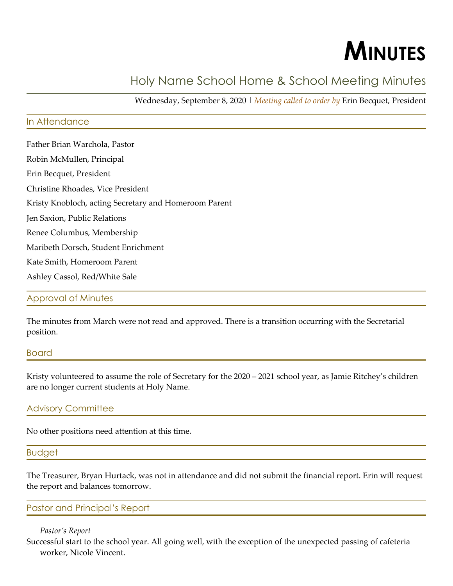# **MINUTES**

# Holy Name School Home & School Meeting Minutes

Wednesday, September 8, 2020 | *Meeting called to order by* Erin Becquet, President

## In Attendance

Father Brian Warchola, Pastor Robin McMullen, Principal Erin Becquet, President Christine Rhoades, Vice President Kristy Knobloch, acting Secretary and Homeroom Parent Jen Saxion, Public Relations Renee Columbus, Membership Maribeth Dorsch, Student Enrichment Kate Smith, Homeroom Parent Ashley Cassol, Red/White Sale

#### Approval of Minutes

The minutes from March were not read and approved. There is a transition occurring with the Secretarial position.

#### Board

Kristy volunteered to assume the role of Secretary for the 2020 – 2021 school year, as Jamie Ritchey's children are no longer current students at Holy Name.

#### Advisory Committee

No other positions need attention at this time.

#### Budget

The Treasurer, Bryan Hurtack, was not in attendance and did not submit the financial report. Erin will request the report and balances tomorrow.

#### Pastor and Principal's Report

#### *Pastor's Report*

Successful start to the school year. All going well, with the exception of the unexpected passing of cafeteria worker, Nicole Vincent.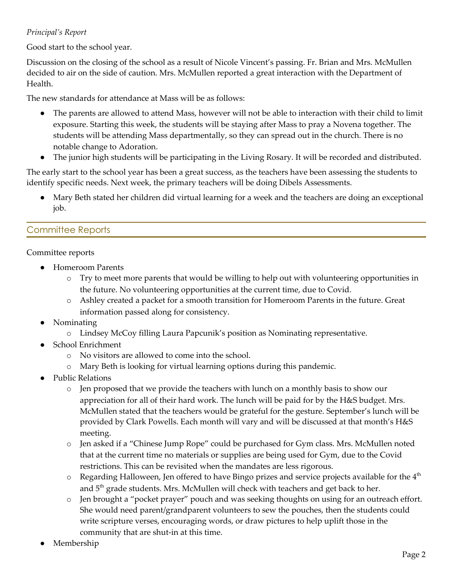# *Principal's Report*

Good start to the school year.

Discussion on the closing of the school as a result of Nicole Vincent's passing. Fr. Brian and Mrs. McMullen decided to air on the side of caution. Mrs. McMullen reported a great interaction with the Department of Health.

The new standards for attendance at Mass will be as follows:

- The parents are allowed to attend Mass, however will not be able to interaction with their child to limit exposure. Starting this week, the students will be staying after Mass to pray a Novena together. The students will be attending Mass departmentally, so they can spread out in the church. There is no notable change to Adoration.
- The junior high students will be participating in the Living Rosary. It will be recorded and distributed.

The early start to the school year has been a great success, as the teachers have been assessing the students to identify specific needs. Next week, the primary teachers will be doing Dibels Assessments.

Mary Beth stated her children did virtual learning for a week and the teachers are doing an exceptional job.

# Committee Reports

## Committee reports

- **Homeroom Parents** 
	- o Try to meet more parents that would be willing to help out with volunteering opportunities in the future. No volunteering opportunities at the current time, due to Covid.
	- o Ashley created a packet for a smooth transition for Homeroom Parents in the future. Great information passed along for consistency.
- **Nominating** 
	- o Lindsey McCoy filling Laura Papcunik's position as Nominating representative.
- School Enrichment
	- o No visitors are allowed to come into the school.
	- o Mary Beth is looking for virtual learning options during this pandemic.
- Public Relations
	- o Jen proposed that we provide the teachers with lunch on a monthly basis to show our appreciation for all of their hard work. The lunch will be paid for by the H&S budget. Mrs. McMullen stated that the teachers would be grateful for the gesture. September's lunch will be provided by Clark Powells. Each month will vary and will be discussed at that month's H&S meeting.
	- o Jen asked if a "Chinese Jump Rope" could be purchased for Gym class. Mrs. McMullen noted that at the current time no materials or supplies are being used for Gym, due to the Covid restrictions. This can be revisited when the mandates are less rigorous.
	- $\circ$  Regarding Halloween, Jen offered to have Bingo prizes and service projects available for the  $4^{\text{th}}$ and  $5<sup>th</sup>$  grade students. Mrs. McMullen will check with teachers and get back to her.
	- o Jen brought a "pocket prayer" pouch and was seeking thoughts on using for an outreach effort. She would need parent/grandparent volunteers to sew the pouches, then the students could write scripture verses, encouraging words, or draw pictures to help uplift those in the community that are shut-in at this time.
- Membership